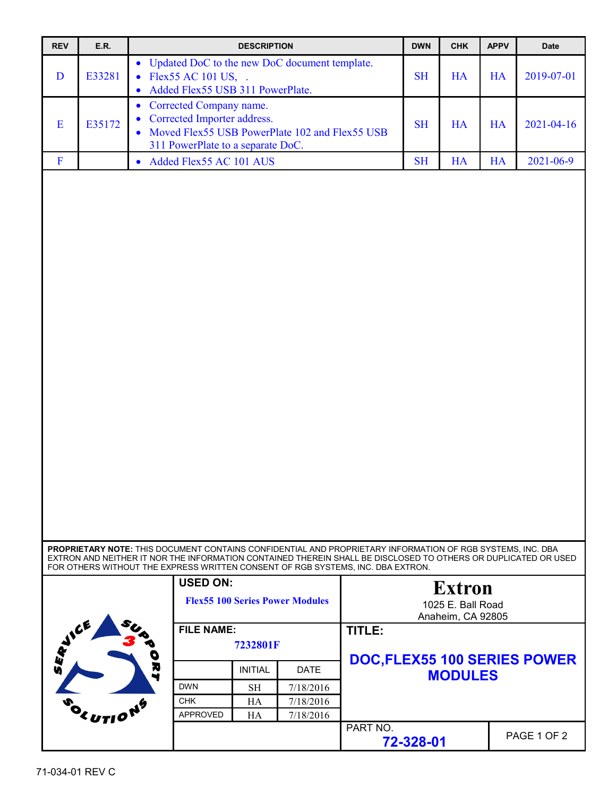| <b>REV</b>              | E.R.                                                                                                                                                                                           |                                                                                                                                                                                                   | <b>DESCRIPTION</b>            |                                        |          | <b>DWN</b>                             | <b>CHK</b>                                              | <b>APPV</b> | <b>Date</b> |
|-------------------------|------------------------------------------------------------------------------------------------------------------------------------------------------------------------------------------------|---------------------------------------------------------------------------------------------------------------------------------------------------------------------------------------------------|-------------------------------|----------------------------------------|----------|----------------------------------------|---------------------------------------------------------|-------------|-------------|
| D                       | E33281                                                                                                                                                                                         | Updated DoC to the new DoC document template.<br>$\bullet$<br>Flex55 AC 101 US, .<br>$\bullet$<br>Added Flex55 USB 311 PowerPlate.<br>$\bullet$                                                   |                               |                                        |          | <b>SH</b>                              | HA                                                      | <b>HA</b>   | 2019-07-01  |
| E                       | Corrected Company name.<br>$\bullet$<br>Corrected Importer address.<br>$\bullet$<br>E35172<br>Moved Flex55 USB PowerPlate 102 and Flex55 USB<br>$\bullet$<br>311 PowerPlate to a separate DoC. |                                                                                                                                                                                                   |                               |                                        |          | <b>SH</b>                              | <b>HA</b>                                               | HA          | 2021-04-16  |
| $\overline{\mathbf{F}}$ |                                                                                                                                                                                                | • Added Flex55 AC 101 AUS                                                                                                                                                                         |                               |                                        |          | <b>SH</b>                              | HA                                                      | HA          | 2021-06-9   |
|                         |                                                                                                                                                                                                | PROPRIETARY NOTE: THIS DOCUMENT CONTAINS CONFIDENTIAL AND PROPRIETARY INFORMATION OF RGB SYSTEMS, INC. DBA                                                                                        |                               |                                        |          |                                        |                                                         |             |             |
|                         |                                                                                                                                                                                                | EXTRON AND NEITHER IT NOR THE INFORMATION CONTAINED THEREIN SHALL BE DISCLOSED TO OTHERS OR DUPLICATED OR USED<br>FOR OTHERS WITHOUT THE EXPRESS WRITTEN CONSENT OF RGB SYSTEMS, INC. DBA EXTRON. |                               |                                        |          |                                        |                                                         |             |             |
|                         |                                                                                                                                                                                                | <b>USED ON:</b>                                                                                                                                                                                   |                               | <b>Flex55 100 Series Power Modules</b> |          |                                        | <b>Extron</b><br>1025 E. Ball Road<br>Anaheim, CA 92805 |             |             |
|                         |                                                                                                                                                                                                |                                                                                                                                                                                                   | <b>FILE NAME:</b><br>7232801F |                                        |          | TITLE:<br>DOC, FLEX55 100 SERIES POWER |                                                         |             |             |
|                         |                                                                                                                                                                                                | R                                                                                                                                                                                                 | <b>INITIAL</b>                | <b>DATE</b>                            |          |                                        | <b>MODULES</b>                                          |             |             |
|                         |                                                                                                                                                                                                | <b>DWN</b>                                                                                                                                                                                        | <b>SH</b>                     | 7/18/2016                              |          |                                        |                                                         |             |             |
|                         |                                                                                                                                                                                                | <b>CHK</b><br><b>APPROVED</b>                                                                                                                                                                     | HA                            | 7/18/2016                              |          |                                        |                                                         |             |             |
|                         | ,<br>"Y UTI <sup>O</sup>                                                                                                                                                                       |                                                                                                                                                                                                   | HA                            | 7/18/2016                              | PART NO. | 72-328-01                              |                                                         |             | PAGE 1 OF 2 |